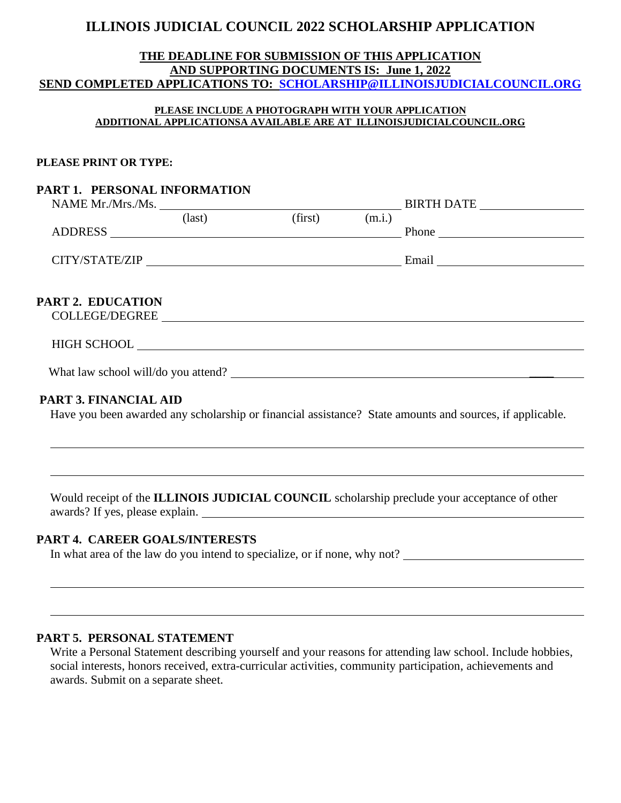## **ILLINOIS JUDICIAL COUNCIL 2022 SCHOLARSHIP APPLICATION**

#### **THE DEADLINE FOR SUBMISSION OF THIS APPLICATION AND SUPPORTING DOCUMENTS IS: June 1, 2022 SEND COMPLETED APPLICATIONS TO: [SCHOLARSHIP@ILLINOISJUDICIALCOUNCIL.ORG](mailto:SCHOLARSHIP@ILLINOISJUDICIALCOUNCIL.ORG)**

#### **PLEASE INCLUDE A PHOTOGRAPH WITH YOUR APPLICATION ADDITIONAL APPLICATIONSA AVAILABLE ARE AT ILLINOISJUDICIALCOUNCIL.ORG**

#### **PLEASE PRINT OR TYPE:**

#### **PART 1. PERSONAL INFORMATION**

| NAME Mr./Mrs./Ms. |                 |         |        | <b>BIRTH DATE</b> |
|-------------------|-----------------|---------|--------|-------------------|
|                   | $\text{(last)}$ | (first) | (m.i.) |                   |
| <b>ADDRESS</b>    |                 |         |        | Phone             |
|                   |                 |         |        |                   |
| CITY/STATE/ZIP    |                 |         |        | Email             |
|                   |                 |         |        |                   |

## **PART 2. EDUCATION**

COLLEGE/DEGREE

#### HIGH SCHOOL

What law school will/do you attend? \_\_\_\_

#### **PART 3. FINANCIAL AID**

Have you been awarded any scholarship or financial assistance? State amounts and sources, if applicable.

Would receipt of the **ILLINOIS JUDICIAL COUNCIL** scholarship preclude your acceptance of other awards? If yes, please explain.

#### **PART 4. CAREER GOALS/INTERESTS**

In what area of the law do you intend to specialize, or if none, why not?

#### **PART 5. PERSONAL STATEMENT**

Write a Personal Statement describing yourself and your reasons for attending law school. Include hobbies, social interests, honors received, extra-curricular activities, community participation, achievements and awards. Submit on a separate sheet.